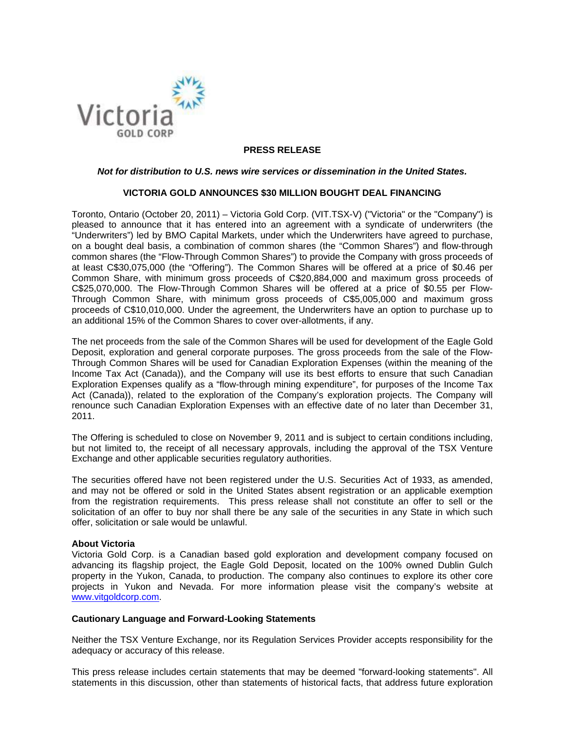

## **PRESS RELEASE**

## *Not for distribution to U.S. news wire services or dissemination in the United States.*

### **VICTORIA GOLD ANNOUNCES \$30 MILLION BOUGHT DEAL FINANCING**

Toronto, Ontario (October 20, 2011) – Victoria Gold Corp. (VIT.TSX-V) ("Victoria" or the "Company") is pleased to announce that it has entered into an agreement with a syndicate of underwriters (the "Underwriters") led by BMO Capital Markets, under which the Underwriters have agreed to purchase, on a bought deal basis, a combination of common shares (the "Common Shares") and flow-through common shares (the "Flow-Through Common Shares") to provide the Company with gross proceeds of at least C\$30,075,000 (the "Offering"). The Common Shares will be offered at a price of \$0.46 per Common Share, with minimum gross proceeds of C\$20,884,000 and maximum gross proceeds of C\$25,070,000. The Flow-Through Common Shares will be offered at a price of \$0.55 per Flow-Through Common Share, with minimum gross proceeds of C\$5,005,000 and maximum gross proceeds of C\$10,010,000. Under the agreement, the Underwriters have an option to purchase up to an additional 15% of the Common Shares to cover over-allotments, if any.

The net proceeds from the sale of the Common Shares will be used for development of the Eagle Gold Deposit, exploration and general corporate purposes. The gross proceeds from the sale of the Flow-Through Common Shares will be used for Canadian Exploration Expenses (within the meaning of the Income Tax Act (Canada)), and the Company will use its best efforts to ensure that such Canadian Exploration Expenses qualify as a "flow-through mining expenditure", for purposes of the Income Tax Act (Canada)), related to the exploration of the Company's exploration projects. The Company will renounce such Canadian Exploration Expenses with an effective date of no later than December 31, 2011.

The Offering is scheduled to close on November 9, 2011 and is subject to certain conditions including, but not limited to, the receipt of all necessary approvals, including the approval of the TSX Venture Exchange and other applicable securities regulatory authorities.

The securities offered have not been registered under the U.S. Securities Act of 1933, as amended, and may not be offered or sold in the United States absent registration or an applicable exemption from the registration requirements. This press release shall not constitute an offer to sell or the solicitation of an offer to buy nor shall there be any sale of the securities in any State in which such offer, solicitation or sale would be unlawful.

#### **About Victoria**

Victoria Gold Corp. is a Canadian based gold exploration and development company focused on advancing its flagship project, the Eagle Gold Deposit, located on the 100% owned Dublin Gulch property in the Yukon, Canada, to production. The company also continues to explore its other core projects in Yukon and Nevada. For more information please visit the company's website at www.vitgoldcorp.com.

#### **Cautionary Language and Forward**‐**Looking Statements**

Neither the TSX Venture Exchange, nor its Regulation Services Provider accepts responsibility for the adequacy or accuracy of this release.

This press release includes certain statements that may be deemed "forward‐looking statements". All statements in this discussion, other than statements of historical facts, that address future exploration